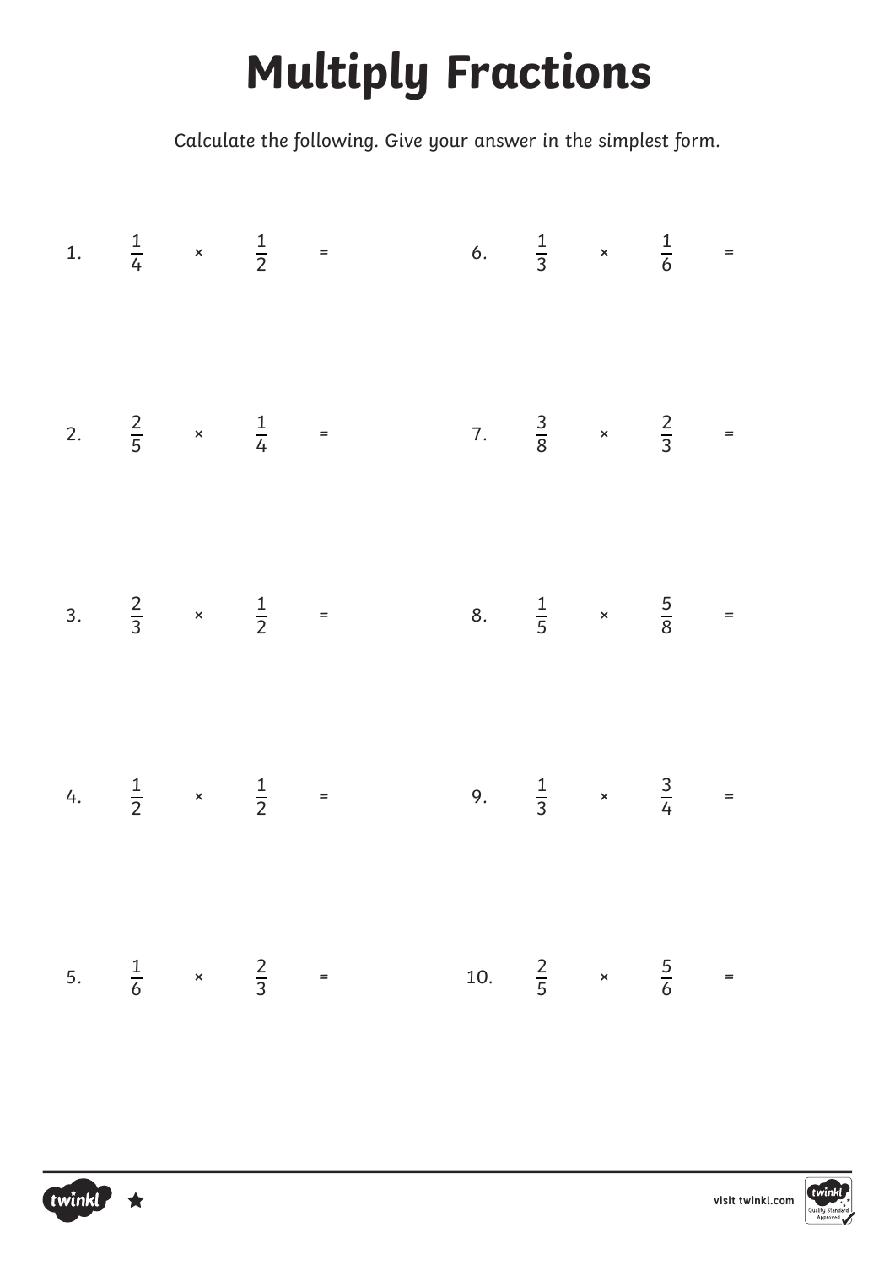## **Multiply Fractions**

|  |  |  | 1. $\frac{1}{4}$ x $\frac{1}{2}$ = 6. $\frac{1}{3}$ x $\frac{1}{6}$ =  |  |  |
|--|--|--|------------------------------------------------------------------------|--|--|
|  |  |  | 2. $\frac{2}{5}$ x $\frac{1}{4}$ = 7. $\frac{3}{8}$ x $\frac{2}{3}$ =  |  |  |
|  |  |  | 3. $\frac{2}{3}$ x $\frac{1}{2}$ = 8. $\frac{1}{5}$ x $\frac{5}{8}$ =  |  |  |
|  |  |  |                                                                        |  |  |
|  |  |  | 4. $\frac{1}{2}$ x $\frac{1}{2}$ = 9. $\frac{1}{3}$ x $\frac{3}{4}$ =  |  |  |
|  |  |  | 5. $\frac{1}{6}$ x $\frac{2}{3}$ = 10. $\frac{2}{5}$ x $\frac{5}{6}$ = |  |  |



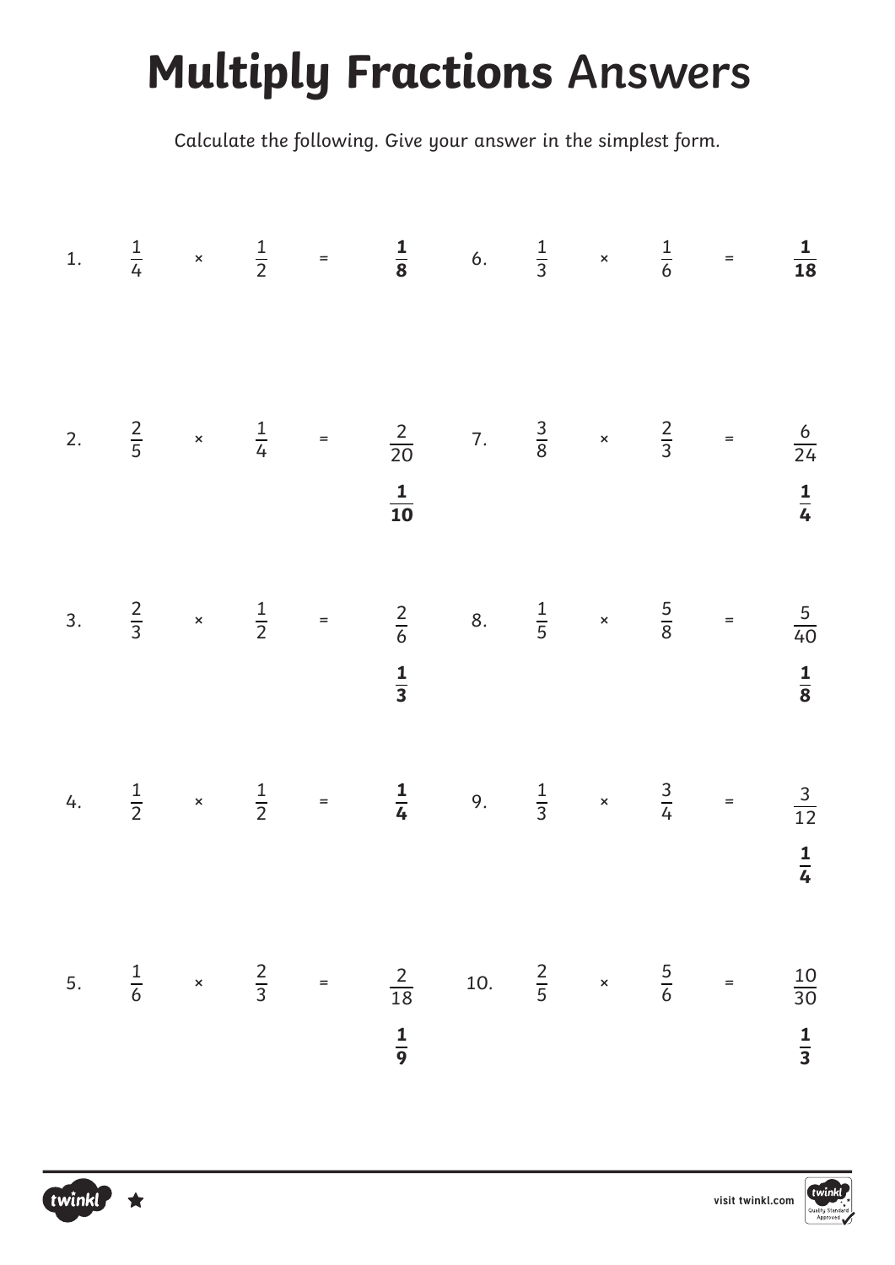## **Multiply Fractions Answers**

|  |  | 1. $\frac{1}{4}$ x $\frac{1}{2}$ = $\frac{1}{8}$ 6. $\frac{1}{3}$ x $\frac{1}{6}$ = $\frac{1}{18}$    |  |  |               |
|--|--|-------------------------------------------------------------------------------------------------------|--|--|---------------|
|  |  |                                                                                                       |  |  |               |
|  |  | 2. $\frac{2}{5}$ x $\frac{1}{4}$ = $\frac{2}{20}$ 7. $\frac{3}{8}$ x $\frac{2}{3}$ = $\frac{6}{24}$   |  |  |               |
|  |  | $\frac{1}{10}$                                                                                        |  |  | $\frac{1}{4}$ |
|  |  | 3. $\frac{2}{3}$ x $\frac{1}{2}$ = $\frac{2}{6}$ 8. $\frac{1}{5}$ x $\frac{5}{8}$ = $\frac{5}{40}$    |  |  |               |
|  |  | $rac{1}{3}$                                                                                           |  |  | $\frac{1}{8}$ |
|  |  | 4. $\frac{1}{2}$ x $\frac{1}{2}$ = $\frac{1}{4}$ 9. $\frac{1}{3}$ x $\frac{3}{4}$ = $\frac{3}{12}$    |  |  |               |
|  |  |                                                                                                       |  |  | $\frac{1}{4}$ |
|  |  | 5. $\frac{1}{6}$ x $\frac{2}{3}$ = $\frac{2}{18}$ 10. $\frac{2}{5}$ x $\frac{5}{6}$ = $\frac{10}{30}$ |  |  |               |
|  |  | $\frac{1}{9}$                                                                                         |  |  | $\frac{1}{3}$ |



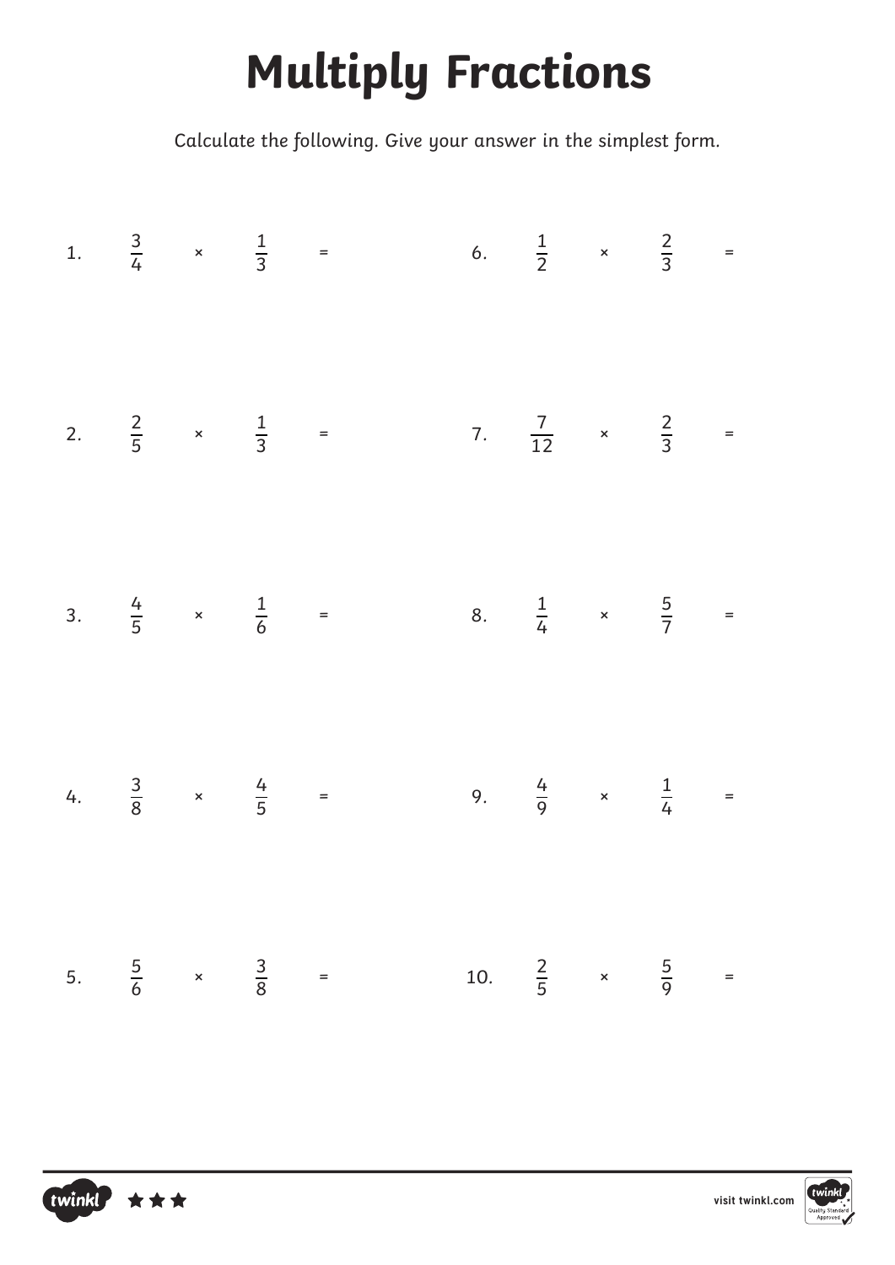## **Multiply Fractions**

|  |  |  | 1. $\frac{3}{4}$ x $\frac{1}{3}$ = 6. $\frac{1}{2}$ x $\frac{2}{3}$ =  |  |  |
|--|--|--|------------------------------------------------------------------------|--|--|
|  |  |  | 2. $\frac{2}{5}$ x $\frac{1}{3}$ = 7. $\frac{7}{12}$ x $\frac{2}{3}$ = |  |  |
|  |  |  |                                                                        |  |  |
|  |  |  | 3. $\frac{4}{5}$ x $\frac{1}{6}$ = 8. $\frac{1}{4}$ x $\frac{5}{7}$ =  |  |  |
|  |  |  | 4. $\frac{3}{8}$ x $\frac{4}{5}$ = 9. $\frac{4}{9}$ x $\frac{1}{4}$ =  |  |  |
|  |  |  | 5. $\frac{5}{6}$ x $\frac{3}{8}$ = 10. $\frac{2}{5}$ x $\frac{5}{9}$ = |  |  |